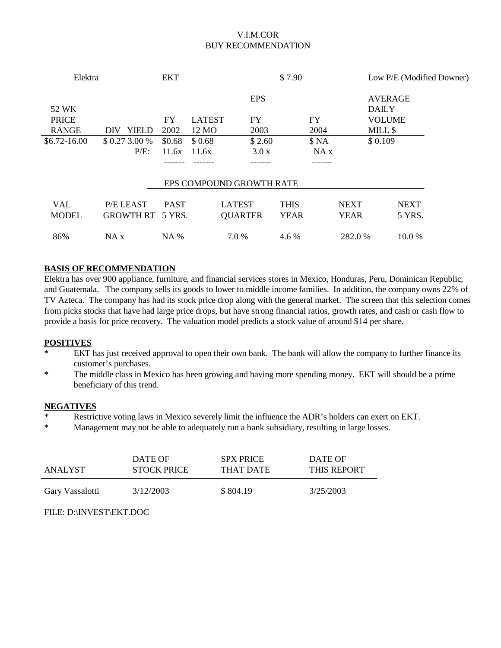### V.I.M.COR BUY RECOMMENDATION

| Elektra       |                  | <b>EKT</b>  |                          |                | \$7.90      |      |             | Low P/E (Modified Downer) |  |  |  |
|---------------|------------------|-------------|--------------------------|----------------|-------------|------|-------------|---------------------------|--|--|--|
|               |                  |             |                          | <b>EPS</b>     |             |      |             | <b>AVERAGE</b>            |  |  |  |
| 52 WK         |                  |             |                          |                |             |      |             | <b>DAILY</b>              |  |  |  |
| <b>PRICE</b>  |                  | FY          | <b>LATEST</b>            | FY.            |             | FY   |             | <b>VOLUME</b>             |  |  |  |
| <b>RANGE</b>  | DIV YIELD        | 2002        | 12 MO                    | 2003           |             | 2004 |             | MILL \$                   |  |  |  |
| $$6.72-16.00$ | $$0.273.00\%$    | \$0.68      | \$0.68                   | \$2.60         |             | \$NA |             | \$0.109                   |  |  |  |
|               | $P/E$ :          | 11.6x       | 11.6x                    | 3.0x           |             | NA x |             |                           |  |  |  |
|               |                  |             |                          |                |             |      |             |                           |  |  |  |
|               |                  |             | EPS COMPOUND GROWTH RATE |                |             |      |             |                           |  |  |  |
| <b>VAL</b>    | P/E LEAST        | <b>PAST</b> |                          | <b>LATEST</b>  | <b>THIS</b> |      | <b>NEXT</b> | <b>NEXT</b>               |  |  |  |
| <b>MODEL</b>  | GROWTH RT 5 YRS. |             |                          | <b>QUARTER</b> | <b>YEAR</b> |      | <b>YEAR</b> | 5 YRS.                    |  |  |  |
| 86%           | NA x             | NA %        |                          | 7.0 %          | 4.6 %       |      | 282.0 %     | 10.0 %                    |  |  |  |

#### **BASIS OF RECOMMENDATION**

Elektra has over 900 appliance, furniture, and financial services stores in Mexico, Honduras, Peru, Dominican Republic, and Guatemala. The company sells its goods to lower to middle income families. In addition, the company owns 22% of TV Azteca. The company has had its stock price drop along with the general market. The screen that this selection comes from picks stocks that have had large price drops, but have strong financial ratios, growth rates, and cash or cash flow to provide a basis for price recovery. The valuation model predicts a stock value of around \$14 per share.

#### **POSITIVES**

- EKT has just received approval to open their own bank. The bank will allow the company to further finance its customer's purchases.
- \* The middle class in Mexico has been growing and having more spending money. EKT will should be a prime beneficiary of this trend.

## **NEGATIVES**

- Restrictive voting laws in Mexico severely limit the influence the ADR's holders can exert on EKT.
- \* Management may not be able to adequately run a bank subsidiary, resulting in large losses.

| ANALYST         | DATE OF            | <b>SPX PRICE</b> | DATE OF     |
|-----------------|--------------------|------------------|-------------|
|                 | <b>STOCK PRICE</b> | THAT DATE        | THIS REPORT |
| Gary Vassalotti | 3/12/2003          | \$804.19         | 3/25/2003   |

FILE: D:\INVEST\EKT.DOC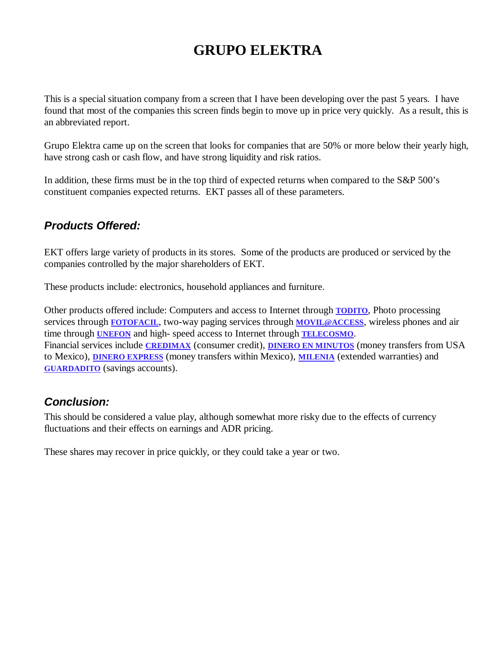# **GRUPO ELEKTRA**

This is a special situation company from a screen that I have been developing over the past 5 years. I have found that most of the companies this screen finds begin to move up in price very quickly. As a result, this is an abbreviated report.

Grupo Elektra came up on the screen that looks for companies that are 50% or more below their yearly high, have strong cash or cash flow, and have strong liquidity and risk ratios.

In addition, these firms must be in the top third of expected returns when compared to the S&P 500's constituent companies expected returns. EKT passes all of these parameters.

# **Products Offered:**

EKT offers large variety of products in its stores. Some of the products are produced or serviced by the companies controlled by the major shareholders of EKT.

These products include: electronics, household appliances and furniture.

Other products offered include: Computers and access to Internet through **TODITO**, Photo processing services through **FOTOFACIL**, two-way paging services through **MOVIL@ACCESS**, wireless phones and air time through **UNEFON** and high- speed access to Internet through **TELECOSMO**. Financial services include **CREDIMAX** (consumer credit), **DINERO EN MINUTOS** (money transfers from USA to Mexico), **DINERO EXPRESS** (money transfers within Mexico), **MILENIA** (extended warranties) and **GUARDADITO** (savings accounts).

# **Conclusion:**

This should be considered a value play, although somewhat more risky due to the effects of currency fluctuations and their effects on earnings and ADR pricing.

These shares may recover in price quickly, or they could take a year or two.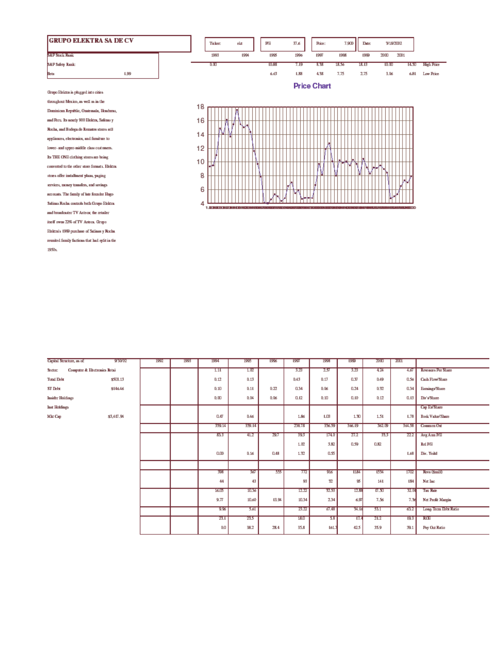

| Capital Structure, as of               | 9/30/02    | 1992 | 1003 | 1994        | 1995   | 1998  | 1997   | 1998   | 1990       | 2000   | 2001   |                         |
|----------------------------------------|------------|------|------|-------------|--------|-------|--------|--------|------------|--------|--------|-------------------------|
| Computer & Electronics Retai<br>Sector |            |      |      | 111         | 1.02   |       | 398    | 257    | 3.23       | 4.24   | 4.67   | Researces Per Share     |
| <b>Total Debt</b>                      | \$503.13   |      |      | 0.12        | 0.13   |       | 0.43   | $0-17$ | <b>L37</b> | 0.49   | 0.56   | <b>Cash Flow/Share</b>  |
| ST Debt                                | \$146.46   |      |      | 0.10        | 0.11   | 0.22  | 0.34   | 0.06   | 0.24       | 0.32   | 0.34   | Earnings/Share          |
| <b>Insider Holdings</b>                |            |      |      | 0.00        | 0.04   | 0.06  | 0.12   | 0.10   | 0.10       | 0.12   | 0.13   | Div's/Share             |
| <b>Inst Holdings</b>                   |            |      |      |             |        |       |        |        |            |        |        | Cap Ex/Share            |
| Mkt Cap                                | \$3,417.94 |      |      | 0.47        | 0.46   |       | 1.86   | 1.DB   | 1.30       | 1.51   | 1.78   | <b>Book Value/Share</b> |
|                                        |            |      |      | 359.14      | 359.14 |       | 238.78 | 356.59 | 366.19     | 362.09 | 364.58 | <b>Common Out</b>       |
|                                        |            |      |      | 333         | 41.2   | 2927  | 393    | 174.0  | 27.2       | 3331   | 22241  | Ang Ann P/H             |
|                                        |            |      |      |             |        |       | 1.02   | 3.82   | 0.59       | 0.82   |        | <b>Rel P/H</b>          |
|                                        |            |      |      | <b>CLOT</b> | 0.16   | 0.48  | 1.32   | 0.55   |            |        | 1.68   | Div. Yeild              |
|                                        |            |      |      |             |        |       |        |        |            |        |        |                         |
|                                        |            |      |      | 398         | 367    | 555   | 772    | 916    | 1184       | 1534   | 1712   | Revs (\$mill)           |
|                                        |            |      |      | 44          | 43     |       | 93     | 32     | 95         | 141    | 184    | Net Inc.                |
|                                        |            |      |      | 1615        | 10.36  |       | 12.22  | 39.5%  | 12.88      | 0.51   | 32.01  | Tax Rate                |
|                                        |            |      |      | 9.77        | 10.60  | 13.94 | 10.34  | 2.34   | 6.97       | 7.56   | 7.34   | Net Profit Margin       |
|                                        |            |      |      | 9.96        | 5.61   |       | 23.22  | 67.48  | 34.16      | 53.1   | 63.2   | Long-Term Debt Ratio    |
|                                        |            |      |      | 23. L       | 23.5   |       | 180    | 58     | 17.4       | 212    | 19.3   | RCE                     |
|                                        |            |      |      | ŒП          | 38.2   | 28.4  | 35.8   | 161.7  | 42.5       | 35.9   | 39.1   | Pay Out Ratio           |